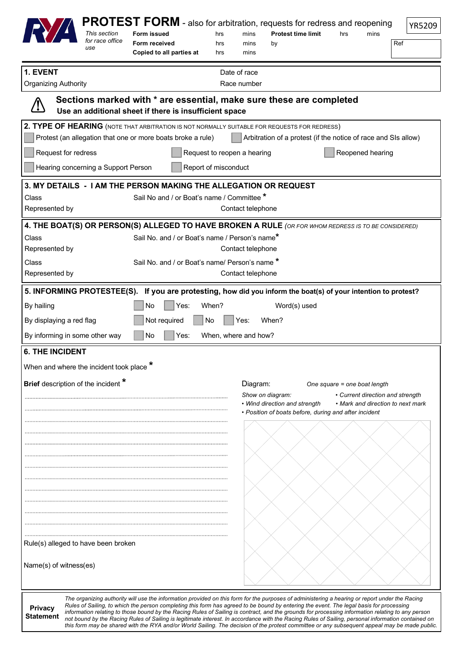|                                                                                                                               |                 | PROTEST FORM - also for arbitration, requests for redress and reopening                                                                                                                                                                                                                   |       |                                                                                      |                                                       |     |                                   |               |  |
|-------------------------------------------------------------------------------------------------------------------------------|-----------------|-------------------------------------------------------------------------------------------------------------------------------------------------------------------------------------------------------------------------------------------------------------------------------------------|-------|--------------------------------------------------------------------------------------|-------------------------------------------------------|-----|-----------------------------------|---------------|--|
|                                                                                                                               | This section    | <b>Form issued</b>                                                                                                                                                                                                                                                                        | hrs   | mins                                                                                 | <b>Protest time limit</b>                             | hrs | mins                              | <b>YR5209</b> |  |
|                                                                                                                               | for race office | Form received                                                                                                                                                                                                                                                                             | hrs   | mins                                                                                 | by                                                    |     | Ref                               |               |  |
|                                                                                                                               | use             | Copied to all parties at                                                                                                                                                                                                                                                                  | hrs   | mins                                                                                 |                                                       |     |                                   |               |  |
| 1. EVENT                                                                                                                      |                 |                                                                                                                                                                                                                                                                                           |       | Date of race                                                                         |                                                       |     |                                   |               |  |
| <b>Organizing Authority</b>                                                                                                   |                 |                                                                                                                                                                                                                                                                                           |       | Race number                                                                          |                                                       |     |                                   |               |  |
|                                                                                                                               |                 |                                                                                                                                                                                                                                                                                           |       |                                                                                      |                                                       |     |                                   |               |  |
|                                                                                                                               |                 | Sections marked with * are essential, make sure these are completed<br>Use an additional sheet if there is insufficient space                                                                                                                                                             |       |                                                                                      |                                                       |     |                                   |               |  |
|                                                                                                                               |                 | 2. TYPE OF HEARING (NOTE THAT ARBITRATION IS NOT NORMALLY SUITABLE FOR REQUESTS FOR REDRESS)                                                                                                                                                                                              |       |                                                                                      |                                                       |     |                                   |               |  |
| Protest (an allegation that one or more boats broke a rule)<br>Arbitration of a protest (if the notice of race and SIs allow) |                 |                                                                                                                                                                                                                                                                                           |       |                                                                                      |                                                       |     |                                   |               |  |
| Request for redress<br>Request to reopen a hearing<br>Reopened hearing                                                        |                 |                                                                                                                                                                                                                                                                                           |       |                                                                                      |                                                       |     |                                   |               |  |
| Hearing concerning a Support Person<br>Report of misconduct                                                                   |                 |                                                                                                                                                                                                                                                                                           |       |                                                                                      |                                                       |     |                                   |               |  |
|                                                                                                                               |                 | 3. MY DETAILS - I AM THE PERSON MAKING THE ALLEGATION OR REQUEST                                                                                                                                                                                                                          |       |                                                                                      |                                                       |     |                                   |               |  |
| Sail No and / or Boat's name / Committee *<br>Class                                                                           |                 |                                                                                                                                                                                                                                                                                           |       |                                                                                      |                                                       |     |                                   |               |  |
| Represented by                                                                                                                |                 |                                                                                                                                                                                                                                                                                           |       | Contact telephone                                                                    |                                                       |     |                                   |               |  |
|                                                                                                                               |                 | 4. THE BOAT(S) OR PERSON(S) ALLEGED TO HAVE BROKEN A RULE (OR FOR WHOM REDRESS IS TO BE CONSIDERED)                                                                                                                                                                                       |       |                                                                                      |                                                       |     |                                   |               |  |
| Class                                                                                                                         |                 | Sail No. and / or Boat's name / Person's name*                                                                                                                                                                                                                                            |       |                                                                                      |                                                       |     |                                   |               |  |
| Represented by                                                                                                                |                 |                                                                                                                                                                                                                                                                                           |       | Contact telephone                                                                    |                                                       |     |                                   |               |  |
| Class                                                                                                                         |                 | Sail No. and / or Boat's name/ Person's name *                                                                                                                                                                                                                                            |       |                                                                                      |                                                       |     |                                   |               |  |
| Represented by                                                                                                                |                 |                                                                                                                                                                                                                                                                                           |       | Contact telephone                                                                    |                                                       |     |                                   |               |  |
|                                                                                                                               |                 | 5. INFORMING PROTESTEE(S). If you are protesting, how did you inform the boat(s) of your intention to protest?                                                                                                                                                                            |       |                                                                                      |                                                       |     |                                   |               |  |
| By hailing                                                                                                                    |                 | <b>No</b><br>Yes:                                                                                                                                                                                                                                                                         | When? |                                                                                      | Word(s) used                                          |     |                                   |               |  |
|                                                                                                                               |                 |                                                                                                                                                                                                                                                                                           |       |                                                                                      |                                                       |     |                                   |               |  |
| When?<br>By displaying a red flag<br>Not required<br>No<br>Yes:                                                               |                 |                                                                                                                                                                                                                                                                                           |       |                                                                                      |                                                       |     |                                   |               |  |
| By informing in some other way                                                                                                |                 | No<br>Yes:                                                                                                                                                                                                                                                                                |       | When, where and how?                                                                 |                                                       |     |                                   |               |  |
| <b>6. THE INCIDENT</b>                                                                                                        |                 |                                                                                                                                                                                                                                                                                           |       |                                                                                      |                                                       |     |                                   |               |  |
| When and where the incident took place                                                                                        |                 |                                                                                                                                                                                                                                                                                           |       |                                                                                      |                                                       |     |                                   |               |  |
| Brief description of the incident *                                                                                           |                 |                                                                                                                                                                                                                                                                                           |       | Diagram:                                                                             |                                                       |     |                                   |               |  |
|                                                                                                                               |                 |                                                                                                                                                                                                                                                                                           |       | One square = one boat length<br>Show on diagram:<br>• Current direction and strength |                                                       |     |                                   |               |  |
|                                                                                                                               |                 |                                                                                                                                                                                                                                                                                           |       |                                                                                      | • Wind direction and strength                         |     | • Mark and direction to next mark |               |  |
|                                                                                                                               |                 |                                                                                                                                                                                                                                                                                           |       |                                                                                      | • Position of boats before, during and after incident |     |                                   |               |  |
|                                                                                                                               |                 |                                                                                                                                                                                                                                                                                           |       |                                                                                      |                                                       |     |                                   |               |  |
|                                                                                                                               |                 |                                                                                                                                                                                                                                                                                           |       |                                                                                      |                                                       |     |                                   |               |  |
|                                                                                                                               |                 |                                                                                                                                                                                                                                                                                           |       |                                                                                      |                                                       |     |                                   |               |  |
|                                                                                                                               |                 |                                                                                                                                                                                                                                                                                           |       |                                                                                      |                                                       |     |                                   |               |  |
|                                                                                                                               |                 |                                                                                                                                                                                                                                                                                           |       |                                                                                      |                                                       |     |                                   |               |  |
|                                                                                                                               |                 |                                                                                                                                                                                                                                                                                           |       |                                                                                      |                                                       |     |                                   |               |  |
|                                                                                                                               |                 |                                                                                                                                                                                                                                                                                           |       |                                                                                      |                                                       |     |                                   |               |  |
|                                                                                                                               |                 |                                                                                                                                                                                                                                                                                           |       |                                                                                      |                                                       |     |                                   |               |  |
|                                                                                                                               |                 |                                                                                                                                                                                                                                                                                           |       |                                                                                      |                                                       |     |                                   |               |  |
| Rule(s) alleged to have been broken                                                                                           |                 |                                                                                                                                                                                                                                                                                           |       |                                                                                      |                                                       |     |                                   |               |  |
|                                                                                                                               |                 |                                                                                                                                                                                                                                                                                           |       |                                                                                      |                                                       |     |                                   |               |  |
| Name(s) of witness(es)                                                                                                        |                 |                                                                                                                                                                                                                                                                                           |       |                                                                                      |                                                       |     |                                   |               |  |
|                                                                                                                               |                 |                                                                                                                                                                                                                                                                                           |       |                                                                                      |                                                       |     |                                   |               |  |
|                                                                                                                               |                 |                                                                                                                                                                                                                                                                                           |       |                                                                                      |                                                       |     |                                   |               |  |
| <b>Privacy</b>                                                                                                                |                 | The organizing authority will use the information provided on this form for the purposes of administering a hearing or report under the Racing<br>Rules of Sailing, to which the person completing this form has agreed to be bound by entering the event. The legal basis for processing |       |                                                                                      |                                                       |     |                                   |               |  |

**Statement** *information relating to those bound by the Racing Rules of Sailing is contract, and the grounds for processing information relating to any person not bound by the Racing Rules of Sailing is legitimate interest. In accordance with the Racing Rules of Sailing, personal information contained on this form may be shared with the RYA and/or World Sailing. The decision of the protest committee or any subsequent appeal may be made public.*